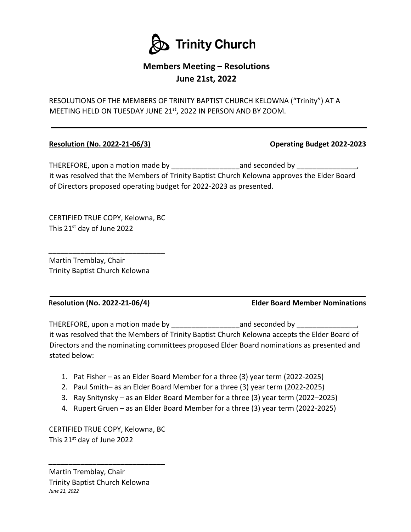

## **Members Meeting – Resolutions June 21st, 2022**

RESOLUTIONS OF THE MEMBERS OF TRINITY BAPTIST CHURCH KELOWNA ("Trinity") AT A MEETING HELD ON TUESDAY JUNE 21st, 2022 IN PERSON AND BY ZOOM.

## **Resolution (No. 2022-21-06/3) Operating Budget 2022-2023**

THEREFORE, upon a motion made by and seconded by THEREFORE, upon a motion made by it was resolved that the Members of Trinity Baptist Church Kelowna approves the Elder Board of Directors proposed operating budget for 2022-2023 as presented.

CERTIFIED TRUE COPY, Kelowna, BC This 21<sup>st</sup> day of June 2022

**\_\_\_\_\_\_\_\_\_\_\_\_\_\_\_\_\_\_\_\_\_\_\_\_\_\_\_\_\_** 

Martin Tremblay, Chair Trinity Baptist Church Kelowna

. R**esolution (No. 2022-21-06/4) Elder Board Member Nominations** 

THEREFORE, upon a motion made by and seconded by THEREFORE, upon a motion made by it was resolved that the Members of Trinity Baptist Church Kelowna accepts the Elder Board of Directors and the nominating committees proposed Elder Board nominations as presented and stated below:

- 1. Pat Fisher as an Elder Board Member for a three (3) year term (2022-2025)
- 2. Paul Smith– as an Elder Board Member for a three (3) year term (2022-2025)
- 3. Ray Snitynsky as an Elder Board Member for a three (3) year term (2022–2025)
- 4. Rupert Gruen as an Elder Board Member for a three (3) year term (2022-2025)

CERTIFIED TRUE COPY, Kelowna, BC This 21st day of June 2022

**\_\_\_\_\_\_\_\_\_\_\_\_\_\_\_\_\_\_\_\_\_\_\_\_\_\_\_\_\_** 

Martin Tremblay, Chair Trinity Baptist Church Kelowna *June 21, 2022*